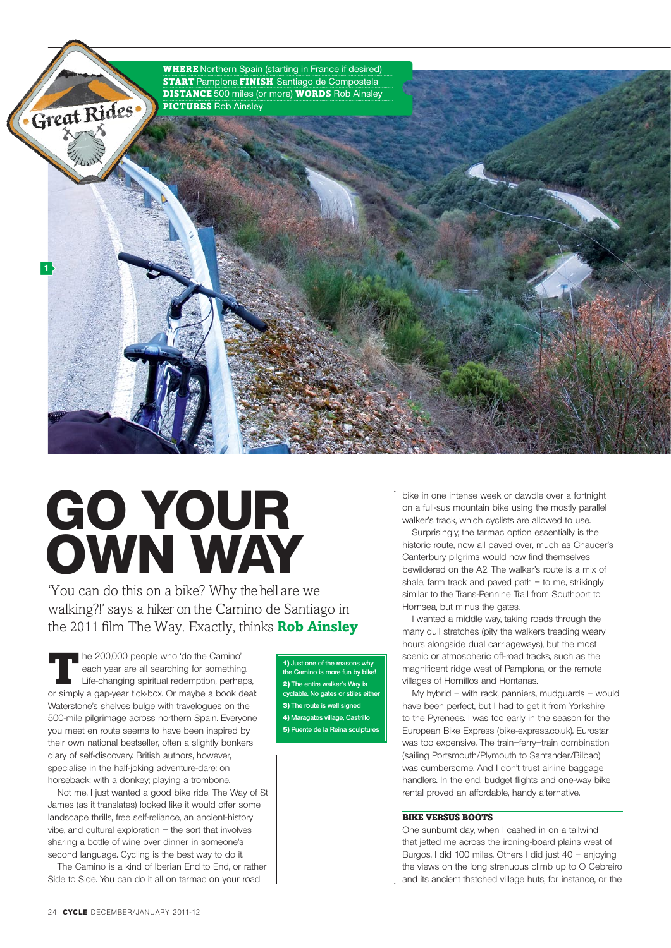

# **Go your own Way**

'You can do this on a bike? Why the hell are we walking?!' says a hiker on the Camino de Santiago in the 2011 film The Way. Exactly, thinks **Rob Ainsley**

The 200,000 people who 'do the Camino' each year are all searching for something. Life-changing spiritual redemption, perhaps, or simply a gap-year tick-box. Or maybe a book deal: Waterstone's shelves bulge with travelogues on the 500-mile pilgrimage across northern Spain. Everyone you meet en route seems to have been inspired by their own national bestseller, often a slightly bonkers diary of self-discovery. British authors, however, specialise in the half-joking adventure-dare: on horseback; with a donkey; playing a trombone.

 Not me. I just wanted a good bike ride. The Way of St James (as it translates) looked like it would offer some landscape thrills, free self-reliance, an ancient-history vibe, and cultural exploration – the sort that involves sharing a bottle of wine over dinner in someone's second language. Cycling is the best way to do it.

The Camino is a kind of Iberian End to End, or rather Side to Side. You can do it all on tarmac on your road

1) **Just one of the reasons why the Camino is more fun by bike!** 2) **The entire walker's Way is ie. No gates or stil**e 3) **The route is well signed** 4) **Maragatos village, Castrillo 5) Puente de la Reina sculptu** 

bike in one intense week or dawdle over a fortnight on a full-sus mountain bike using the mostly parallel walker's track, which cyclists are allowed to use.

Surprisingly, the tarmac option essentially is the historic route, now all paved over, much as Chaucer's Canterbury pilgrims would now find themselves bewildered on the A2. The walker's route is a mix of shale, farm track and paved path – to me, strikingly similar to the Trans-Pennine Trail from Southport to Hornsea, but minus the gates.

I wanted a middle way, taking roads through the many dull stretches (pity the walkers treading weary hours alongside dual carriageways), but the most scenic or atmospheric off-road tracks, such as the magnificent ridge west of Pamplona, or the remote villages of Hornillos and Hontanas.

 My hybrid – with rack, panniers, mudguards – would have been perfect, but I had to get it from Yorkshire to the Pyrenees. I was too early in the season for the European Bike Express (bike-express.co.uk). Eurostar was too expensive. The train–ferry–train combination (sailing Portsmouth/Plymouth to Santander/Bilbao) was cumbersome. And I don't trust airline baggage handlers. In the end, budget flights and one-way bike rental proved an affordable, handy alternative.

# Bike versus boots

One sunburnt day, when I cashed in on a tailwind that jetted me across the ironing-board plains west of Burgos, I did 100 miles. Others I did just 40 – enjoying the views on the long strenuous climb up to O Cebreiro and its ancient thatched village huts, for instance, or the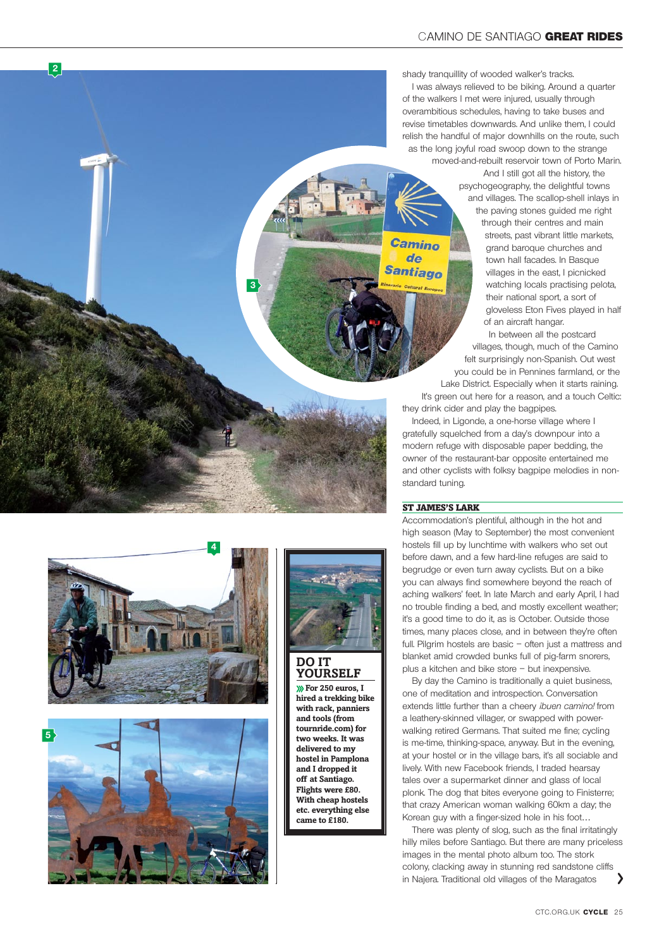shady tranquillity of wooded walker's tracks.

I was always relieved to be biking. Around a quarter of the walkers I met were injured, usually through overambitious schedules, having to take buses and revise timetables downwards. And unlike them, I could relish the handful of major downhills on the route, such as the long joyful road swoop down to the strange moved-and-rebuilt reservoir town of Porto Marin.

 And I still got all the history, the psychogeography, the delightful towns and villages. The scallop-shell inlays in

> the paving stones guided me right through their centres and main streets, past vibrant little markets, grand baroque churches and town hall facades. In Basque villages in the east, I picnicked watching locals practising pelota, their national sport, a sort of gloveless Eton Fives played in half of an aircraft hangar.

In between all the postcard villages, though, much of the Camino felt surprisingly non-Spanish. Out west you could be in Pennines farmland, or the Lake District. Especially when it starts raining. It's green out here for a reason, and a touch Celtic:

they drink cider and play the bagpipes.

Indeed, in Ligonde, a one-horse village where I gratefully squelched from a day's downpour into a modern refuge with disposable paper bedding, the owner of the restaurant-bar opposite entertained me and other cyclists with folksy bagpipe melodies in nonstandard tuning.

## St James's lark

Camino  $d_{\mathbf{P}}$ **Santiago** 

> Accommodation's plentiful, although in the hot and high season ( May to September) the most convenient hostels fill up by lunchtime with walkers who set out before dawn, and a few hard-line refuges are said to begrudge or even turn away cyclists. But on a bike you can always find somewhere beyond the reach of aching walkers' feet. In late March and early April, I had no trouble finding a bed, and mostly excellent weather; it's a good time to do it, as is October. Outside those times, many places close, and in between they're often full. Pilgrim hostels are basic – often just a mattress and blanket amid crowded bunks full of pig-farm snorers, plus a kitchen and bike store – but inexpensive.

 By day the Camino is traditionally a quiet business, one of meditation and introspection. Conversation extends little further than a cheery *ibuen camino!* from a leathery-skinned villager, or swapped with powerwalking retired Germans. That suited me fine; cycling is me-time, thinking-space, anyway. But in the evening, at your hostel or in the village bars, it's all sociable and lively. With new Facebook friends, I traded hearsay tales over a supermarket dinner and glass of local plonk. The dog that bites everyone going to Finisterre; that crazy American woman walking 60km a day; the Korean guy with a finger-sized hole in his foot…

There was plenty of slog, such as the final irritatingly hilly miles before Santiago. But there are many priceless images in the mental photo album too. The stork colony, clacking away in stunning red sandstone cliffs in Najera. Traditional old villages of the Maragatos



**2**





**3**

**you rself For 250 euros, I hired a trekking bike with rack, panniers and tools (from tournride.com) for two weeks. It was delivered to my hostel in Pamplona and I dropped it off at Santiago. Flights were £80. With cheap hostels etc. everything else came to £180.**